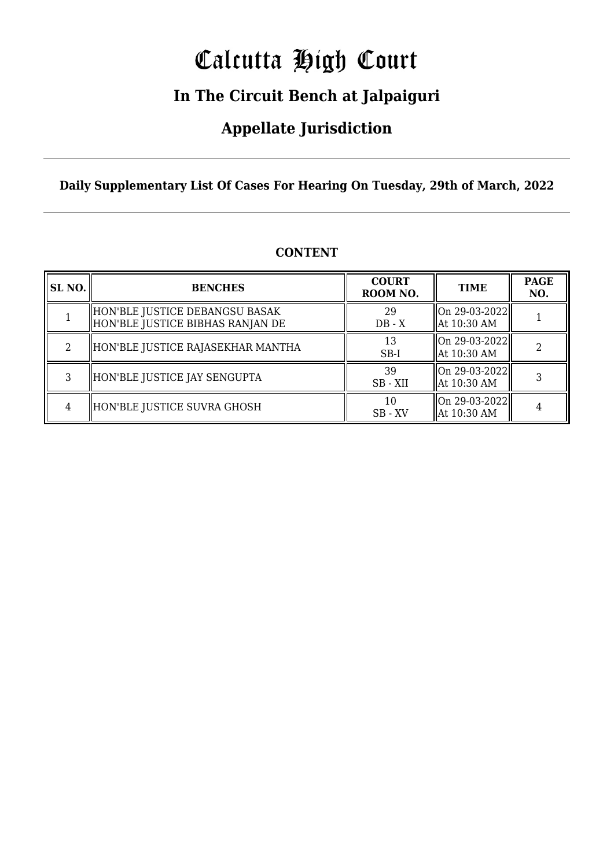# Calcutta High Court

### **In The Circuit Bench at Jalpaiguri**

### **Appellate Jurisdiction**

**Daily Supplementary List Of Cases For Hearing On Tuesday, 29th of March, 2022**

| SL NO. | <b>BENCHES</b>                                                     | <b>COURT</b><br>ROOM NO. | TIME                                              | <b>PAGE</b><br>NO. |
|--------|--------------------------------------------------------------------|--------------------------|---------------------------------------------------|--------------------|
|        | HON'BLE JUSTICE DEBANGSU BASAK<br>HON'BLE JUSTICE BIBHAS RANJAN DE | 29<br>$DB - X$           | On 29-03-2022  <br>At 10:30 AM                    |                    |
| 2      | HON'BLE JUSTICE RAJASEKHAR MANTHA                                  | 13<br>$SB-I$             | On 29-03-2022  <br>At 10:30 AM                    |                    |
| 3      | HON'BLE JUSTICE JAY SENGUPTA                                       | 39<br>SB - XII           | On 29-03-2022  <br>At 10:30 AM                    |                    |
|        | HON'BLE JUSTICE SUVRA GHOSH                                        | 10<br>$SB - XV$          | $\vert$ On 29-03-2022 $\vert\vert$<br>At 10:30 AM |                    |

#### **CONTENT**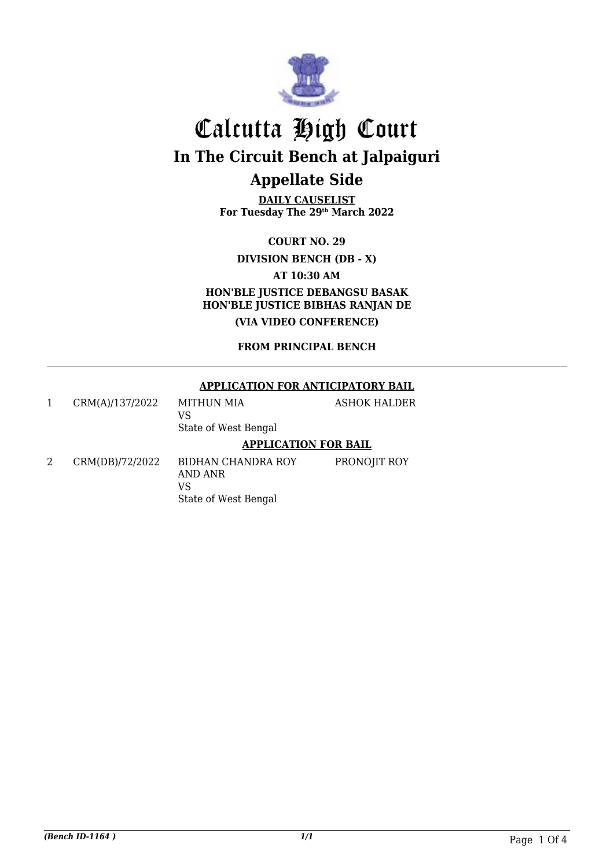

**DAILY CAUSELIST For Tuesday The 29th March 2022**

**COURT NO. 29**

**DIVISION BENCH (DB - X)**

**AT 10:30 AM**

**HON'BLE JUSTICE DEBANGSU BASAK HON'BLE JUSTICE BIBHAS RANJAN DE (VIA VIDEO CONFERENCE)**

**FROM PRINCIPAL BENCH**

#### **APPLICATION FOR ANTICIPATORY BAIL**

|                 | <b>APPLICATION FOR BAIL</b>               |              |
|-----------------|-------------------------------------------|--------------|
| CRM(A)/137/2022 | MITHUN MIA<br>VS.<br>State of West Bengal | ASHOK HALDER |

2 CRM(DB)/72/2022 BIDHAN CHANDRA ROY AND ANR VS State of West Bengal PRONOJIT ROY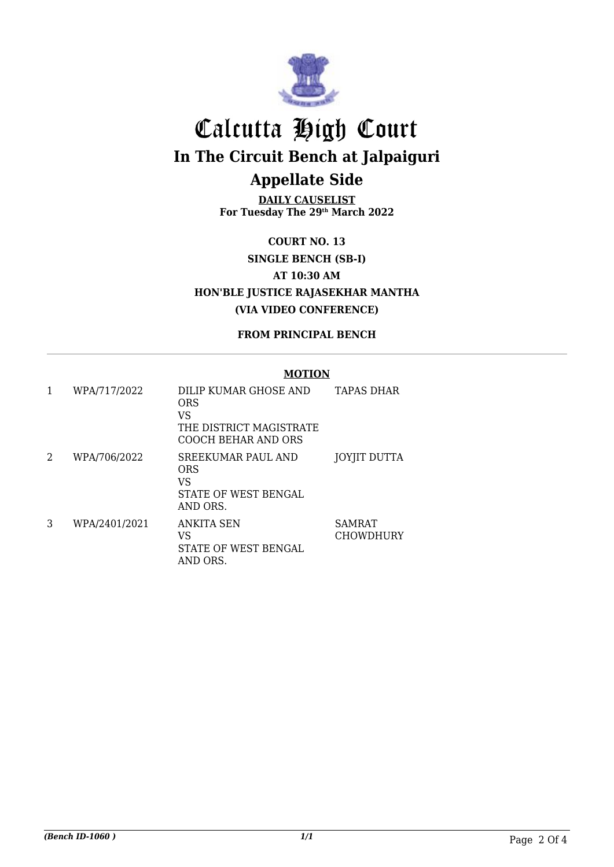

**DAILY CAUSELIST For Tuesday The 29th March 2022**

**COURT NO. 13 SINGLE BENCH (SB-I) AT 10:30 AM HON'BLE JUSTICE RAJASEKHAR MANTHA (VIA VIDEO CONFERENCE)**

**FROM PRINCIPAL BENCH**

#### **MOTION**

| 1 | WPA/717/2022  | DILIP KUMAR GHOSE AND<br>ORS<br>VS<br>THE DISTRICT MAGISTRATE<br>COOCH BEHAR AND ORS | TAPAS DHAR                        |
|---|---------------|--------------------------------------------------------------------------------------|-----------------------------------|
| 2 | WPA/706/2022  | SREEKUMAR PAUL AND<br>ORS<br>VS<br>STATE OF WEST BENGAL<br>AND ORS.                  | JOYJIT DUTTA                      |
| 3 | WPA/2401/2021 | ANKITA SEN<br>VS<br>STATE OF WEST BENGAL<br>AND ORS.                                 | <b>SAMRAT</b><br><b>CHOWDHURY</b> |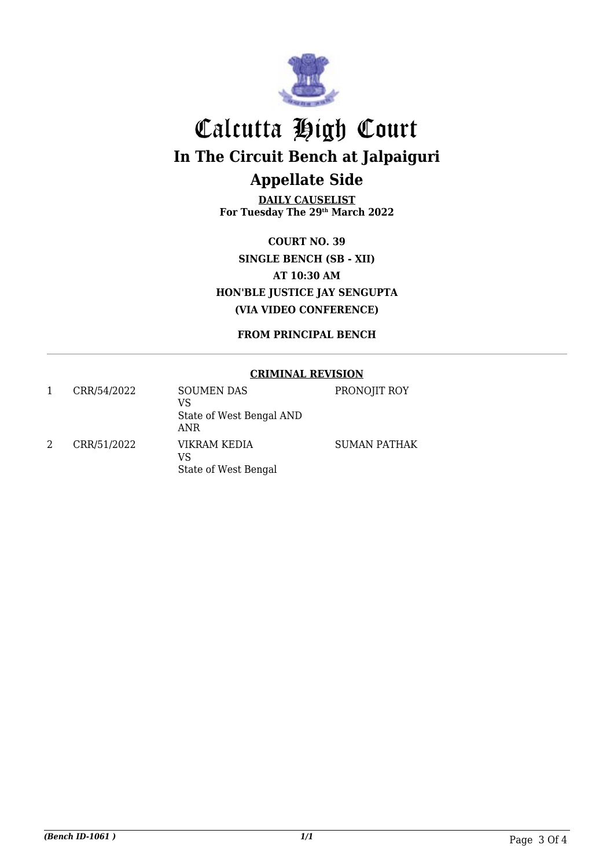

**DAILY CAUSELIST For Tuesday The 29th March 2022**

**COURT NO. 39 SINGLE BENCH (SB - XII) AT 10:30 AM HON'BLE JUSTICE JAY SENGUPTA (VIA VIDEO CONFERENCE)**

**FROM PRINCIPAL BENCH**

#### **CRIMINAL REVISION**

| CRR/54/2022 | <b>SOUMEN DAS</b><br>VS<br>State of West Bengal AND<br>ANR | PRONOJIT ROY        |
|-------------|------------------------------------------------------------|---------------------|
| CRR/51/2022 | VIKRAM KEDIA<br>VS<br>State of West Bengal                 | <b>SUMAN PATHAK</b> |